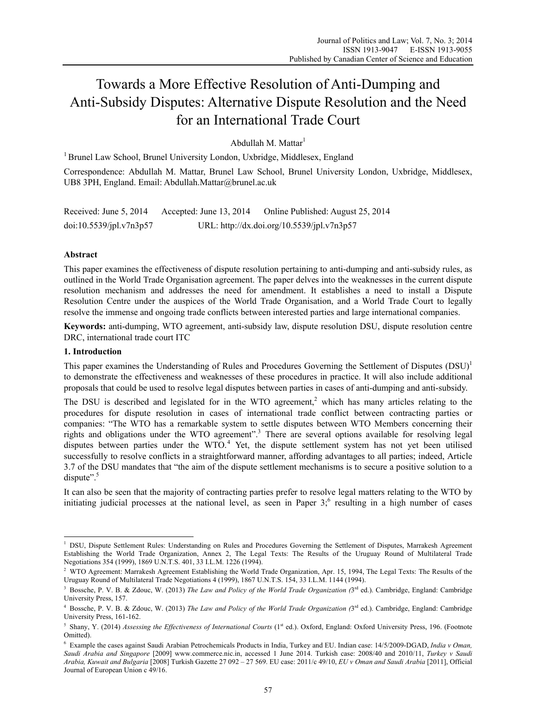# Towards a More Effective Resolution of Anti-Dumping and Anti-Subsidy Disputes: Alternative Dispute Resolution and the Need for an International Trade Court

Abdullah M. Mattar<sup>1</sup>

1 Brunel Law School, Brunel University London, Uxbridge, Middlesex, England

Correspondence: Abdullah M. Mattar, Brunel Law School, Brunel University London, Uxbridge, Middlesex, UB8 3PH, England. Email: Abdullah.Mattar@brunel.ac.uk

Received: June 5, 2014 Accepted: June 13, 2014 Online Published: August 25, 2014 doi:10.5539/jpl.v7n3p57 URL: http://dx.doi.org/10.5539/jpl.v7n3p57

## **Abstract**

This paper examines the effectiveness of dispute resolution pertaining to anti-dumping and anti-subsidy rules, as outlined in the World Trade Organisation agreement. The paper delves into the weaknesses in the current dispute resolution mechanism and addresses the need for amendment. It establishes a need to install a Dispute Resolution Centre under the auspices of the World Trade Organisation, and a World Trade Court to legally resolve the immense and ongoing trade conflicts between interested parties and large international companies.

**Keywords:** anti-dumping, WTO agreement, anti-subsidy law, dispute resolution DSU, dispute resolution centre DRC, international trade court ITC

# **1. Introduction**

This paper examines the Understanding of Rules and Procedures Governing the Settlement of Disputes (DSU)<sup>1</sup> to demonstrate the effectiveness and weaknesses of these procedures in practice. It will also include additional proposals that could be used to resolve legal disputes between parties in cases of anti-dumping and anti-subsidy.

The DSU is described and legislated for in the WTO agreement,<sup>2</sup> which has many articles relating to the procedures for dispute resolution in cases of international trade conflict between contracting parties or companies: "The WTO has a remarkable system to settle disputes between WTO Members concerning their rights and obligations under the WTO agreement".<sup>3</sup> There are several options available for resolving legal disputes between parties under the WTO.<sup>4</sup> Yet, the dispute settlement system has not yet been utilised successfully to resolve conflicts in a straightforward manner, affording advantages to all parties; indeed, Article 3.7 of the DSU mandates that "the aim of the dispute settlement mechanisms is to secure a positive solution to a dispute". $5$ 

It can also be seen that the majority of contracting parties prefer to resolve legal matters relating to the WTO by initiating judicial processes at the national level, as seen in Paper  $3<sub>i</sub>^6$  resulting in a high number of cases

 1 DSU, Dispute Settlement Rules: Understanding on Rules and Procedures Governing the Settlement of Disputes, Marrakesh Agreement Establishing the World Trade Organization, Annex 2, The Legal Texts: The Results of the Uruguay Round of Multilateral Trade Negotiations 354 (1999), 1869 U.N.T.S. 401, 33 I.L.M. 1226 (1994).

<sup>&</sup>lt;sup>2</sup> WTO Agreement: Marrakesh Agreement Establishing the World Trade Organization, Apr. 15, 1994, The Legal Texts: The Results of the Uruguay Round of Multilateral Trade Negotiations 4 (1999), 1867 U.N.T.S. 154, 33 I.L.M. 1144 (1994).

<sup>&</sup>lt;sup>3</sup> Bossche, P. V. B. & Zdouc, W. (2013) The Law and Policy of the World Trade Organization (3<sup>rd</sup> ed.). Cambridge, England: Cambridge University Press, 157.

<sup>4</sup> Bossche, P. V. B. & Zdouc, W. (2013) *The Law and Policy of the World Trade Organization (*3rd ed.). Cambridge, England: Cambridge University Press, 161-162.

<sup>&</sup>lt;sup>5</sup> Shany, Y. (2014) *Assessing the Effectiveness of International Courts* (1<sup>st</sup> ed.). Oxford, England: Oxford University Press, 196. (Footnote Omitted).

<sup>6</sup> Example the cases against Saudi Arabian Petrochemicals Products in India, Turkey and EU. Indian case: 14/5/2009-DGAD, *India v Oman, Saudi Arabia and Singapore* [2009] www.commerce.nic.in, accessed 1 June 2014. Turkish case: 2008/40 and 2010/11, *Turkey v Saudi Arabia, Kuwait and Bulgaria* [2008] Turkish Gazette 27 092 – 27 569. EU case: 2011/c 49/10, *EU v Oman and Saudi Arabia* [2011], Official Journal of European Union c 49/16.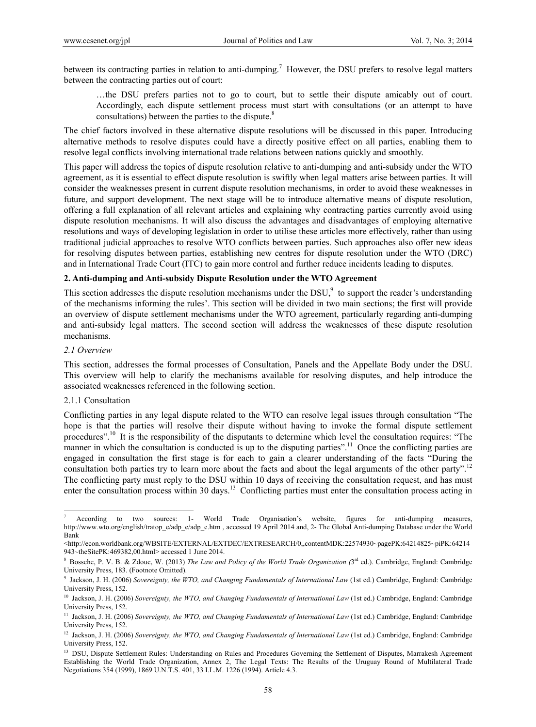between its contracting parties in relation to anti-dumping.<sup>7</sup> However, the DSU prefers to resolve legal matters between the contracting parties out of court:

…the DSU prefers parties not to go to court, but to settle their dispute amicably out of court. Accordingly, each dispute settlement process must start with consultations (or an attempt to have consultations) between the parties to the dispute.<sup>8</sup>

The chief factors involved in these alternative dispute resolutions will be discussed in this paper. Introducing alternative methods to resolve disputes could have a directly positive effect on all parties, enabling them to resolve legal conflicts involving international trade relations between nations quickly and smoothly.

This paper will address the topics of dispute resolution relative to anti-dumping and anti-subsidy under the WTO agreement, as it is essential to effect dispute resolution is swiftly when legal matters arise between parties. It will consider the weaknesses present in current dispute resolution mechanisms, in order to avoid these weaknesses in future, and support development. The next stage will be to introduce alternative means of dispute resolution, offering a full explanation of all relevant articles and explaining why contracting parties currently avoid using dispute resolution mechanisms. It will also discuss the advantages and disadvantages of employing alternative resolutions and ways of developing legislation in order to utilise these articles more effectively, rather than using traditional judicial approaches to resolve WTO conflicts between parties. Such approaches also offer new ideas for resolving disputes between parties, establishing new centres for dispute resolution under the WTO (DRC) and in International Trade Court (ITC) to gain more control and further reduce incidents leading to disputes.

## **2. Anti-dumping and Anti-subsidy Dispute Resolution under the WTO Agreement**

This section addresses the dispute resolution mechanisms under the  $DSU<sub>1</sub><sup>9</sup>$  to support the reader's understanding of the mechanisms informing the rules'. This section will be divided in two main sections; the first will provide an overview of dispute settlement mechanisms under the WTO agreement, particularly regarding anti-dumping and anti-subsidy legal matters. The second section will address the weaknesses of these dispute resolution mechanisms.

#### *2.1 Overview*

This section, addresses the formal processes of Consultation, Panels and the Appellate Body under the DSU. This overview will help to clarify the mechanisms available for resolving disputes, and help introduce the associated weaknesses referenced in the following section.

#### 2.1.1 Consultation

 $\overline{a}$ 

Conflicting parties in any legal dispute related to the WTO can resolve legal issues through consultation "The hope is that the parties will resolve their dispute without having to invoke the formal dispute settlement procedures".10 It is the responsibility of the disputants to determine which level the consultation requires: "The manner in which the consultation is conducted is up to the disputing parties".<sup>11</sup> Once the conflicting parties are engaged in consultation the first stage is for each to gain a clearer understanding of the facts "During the consultation both parties try to learn more about the facts and about the legal arguments of the other party".<sup>12</sup> The conflicting party must reply to the DSU within 10 days of receiving the consultation request, and has must enter the consultation process within 30 days.<sup>13</sup> Conflicting parties must enter the consultation process acting in

<sup>7</sup> According to two sources: 1- World Trade Organisation's website, figures for anti-dumping measures, http://www.wto.org/english/tratop\_e/adp\_e/adp\_e.htm , accessed 19 April 2014 and, 2- The Global Anti-dumping Database under the World Bank

<sup>&</sup>lt;http://econ.worldbank.org/WBSITE/EXTERNAL/EXTDEC/EXTRESEARCH/0,,contentMDK:22574930~pagePK:64214825~piPK:64214 943~theSitePK:469382,00.html> accessed 1 June 2014. 8

<sup>&</sup>lt;sup>8</sup> Bossche, P. V. B. & Zdouc, W. (2013) The Law and Policy of the World Trade Organization (3<sup>rd</sup> ed.). Cambridge, England: Cambridge University Press, 183. (Footnote Omitted). 9

<sup>&</sup>lt;sup>9</sup> Jackson, J. H. (2006) Sovereignty, the WTO, and Changing Fundamentals of International Law (1st ed.) Cambridge, England: Cambridge University Press, 152.

<sup>&</sup>lt;sup>10</sup> Jackson, J. H. (2006) Sovereignty, the WTO, and Changing Fundamentals of International Law (1st ed.) Cambridge, England: Cambridge University Press, 152.

<sup>&</sup>lt;sup>11</sup> Jackson, J. H. (2006) Sovereignty, the WTO, and Changing Fundamentals of International Law (1st ed.) Cambridge, England: Cambridge University Press, 152.

<sup>&</sup>lt;sup>12</sup> Jackson, J. H. (2006) *Sovereignty, the WTO, and Changing Fundamentals of International Law* (1st ed.) Cambridge, England: Cambridge University Press, 152.

<sup>&</sup>lt;sup>13</sup> DSU, Dispute Settlement Rules: Understanding on Rules and Procedures Governing the Settlement of Disputes, Marrakesh Agreement Establishing the World Trade Organization, Annex 2, The Legal Texts: The Results of the Uruguay Round of Multilateral Trade Negotiations 354 (1999), 1869 U.N.T.S. 401, 33 I.L.M. 1226 (1994). Article 4.3.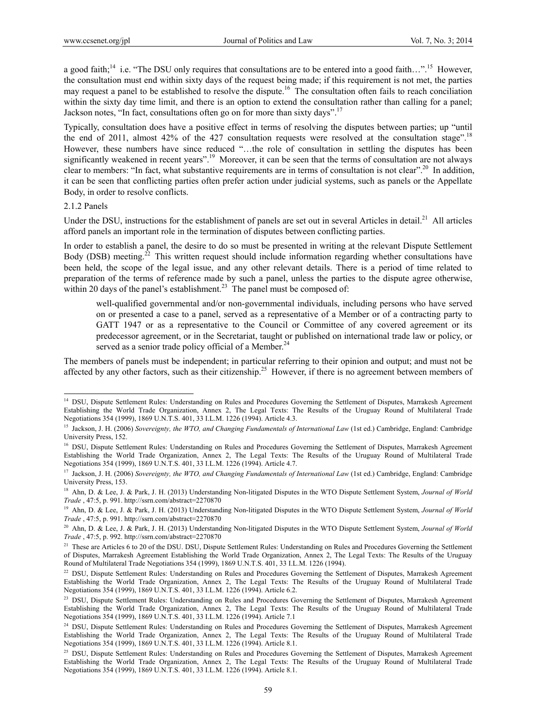a good faith;<sup>14</sup> i.e. "The DSU only requires that consultations are to be entered into a good faith...".<sup>15</sup> However, the consultation must end within sixty days of the request being made; if this requirement is not met, the parties may request a panel to be established to resolve the dispute.16 The consultation often fails to reach conciliation within the sixty day time limit, and there is an option to extend the consultation rather than calling for a panel; Jackson notes, "In fact, consultations often go on for more than sixty days".<sup>17</sup>

Typically, consultation does have a positive effect in terms of resolving the disputes between parties; up "until the end of 2011, almost  $42\%$  of the 427 consultation requests were resolved at the consultation stage".<sup>18</sup> However, these numbers have since reduced "…the role of consultation in settling the disputes has been significantly weakened in recent years".<sup>19</sup> Moreover, it can be seen that the terms of consultation are not always clear to members: "In fact, what substantive requirements are in terms of consultation is not clear".20 In addition, it can be seen that conflicting parties often prefer action under judicial systems, such as panels or the Appellate Body, in order to resolve conflicts.

#### 2.1.2 Panels

 $\overline{a}$ 

Under the DSU, instructions for the establishment of panels are set out in several Articles in detail.<sup>21</sup> All articles afford panels an important role in the termination of disputes between conflicting parties.

In order to establish a panel, the desire to do so must be presented in writing at the relevant Dispute Settlement Body (DSB) meeting.<sup>22</sup> This written request should include information regarding whether consultations have been held, the scope of the legal issue, and any other relevant details. There is a period of time related to preparation of the terms of reference made by such a panel, unless the parties to the dispute agree otherwise, within 20 days of the panel's establishment.<sup>23</sup> The panel must be composed of:

 well-qualified governmental and/or non-governmental individuals, including persons who have served on or presented a case to a panel, served as a representative of a Member or of a contracting party to GATT 1947 or as a representative to the Council or Committee of any covered agreement or its predecessor agreement, or in the Secretariat, taught or published on international trade law or policy, or served as a senior trade policy official of a Member.<sup>24</sup>

The members of panels must be independent; in particular referring to their opinion and output; and must not be affected by any other factors, such as their citizenship.<sup>25</sup> However, if there is no agreement between members of

<sup>&</sup>lt;sup>14</sup> DSU, Dispute Settlement Rules: Understanding on Rules and Procedures Governing the Settlement of Disputes, Marrakesh Agreement Establishing the World Trade Organization, Annex 2, The Legal Texts: The Results of the Uruguay Round of Multilateral Trade Negotiations 354 (1999), 1869 U.N.T.S. 401, 33 I.L.M. 1226 (1994). Article 4.3.

<sup>&</sup>lt;sup>15</sup> Jackson, J. H. (2006) *Sovereignty, the WTO, and Changing Fundamentals of International Law* (1st ed.) Cambridge, England: Cambridge University Press, 152.

<sup>&</sup>lt;sup>16</sup> DSU, Dispute Settlement Rules: Understanding on Rules and Procedures Governing the Settlement of Disputes, Marrakesh Agreement Establishing the World Trade Organization, Annex 2, The Legal Texts: The Results of the Uruguay Round of Multilateral Trade Negotiations 354 (1999), 1869 U.N.T.S. 401, 33 I.L.M. 1226 (1994). Article 4.7.

<sup>&</sup>lt;sup>17</sup> Jackson, J. H. (2006) Sovereignty, the WTO, and Changing Fundamentals of International Law (1st ed.) Cambridge, England: Cambridge University Press, 153.

<sup>&</sup>lt;sup>18</sup> Ahn, D. & Lee, J. & Park, J. H. (2013) Understanding Non-litigated Disputes in the WTO Dispute Settlement System, *Journal of World Trade*, 47:5, p. 991. http://ssrn.com/abstract=2270870

<sup>&</sup>lt;sup>19</sup> Ahn, D. & Lee, J. & Park, J. H. (2013) Understanding Non-litigated Disputes in the WTO Dispute Settlement System, *Journal of World Trade*, 47:5, p. 991. http://ssrn.com/abstract=2270870

<sup>&</sup>lt;sup>20</sup> Ahn, D. & Lee, J. & Park, J. H. (2013) Understanding Non-litigated Disputes in the WTO Dispute Settlement System, *Journal of World Trade* , 47:5, p. 992. http://ssrn.com/abstract=2270870 21 These are Articles 6 to 20 of the DSU. DSU, Dispute Settlement Rules: Understanding on Rules and Procedures Governing the Settlement

of Disputes, Marrakesh Agreement Establishing the World Trade Organization, Annex 2, The Legal Texts: The Results of the Uruguay Round of Multilateral Trade Negotiations 354 (1999), 1869 U.N.T.S. 401, 33 I.L.M. 1226 (1994)

<sup>&</sup>lt;sup>22</sup> DSU, Dispute Settlement Rules: Understanding on Rules and Procedures Governing the Settlement of Disputes, Marrakesh Agreement Establishing the World Trade Organization, Annex 2, The Legal Texts: The Results of the Uruguay Round of Multilateral Trade Negotiations 354 (1999), 1869 U.N.T.S. 401, 33 I.L.M. 1226 (1994). Article 6.2.

<sup>&</sup>lt;sup>23</sup> DSU, Dispute Settlement Rules: Understanding on Rules and Procedures Governing the Settlement of Disputes, Marrakesh Agreement Establishing the World Trade Organization, Annex 2, The Legal Texts: The Results of the Uruguay Round of Multilateral Trade Negotiations 354 (1999), 1869 U.N.T.S. 401, 33 I.L.M. 1226 (1994). Article 7.1

<sup>&</sup>lt;sup>24</sup> DSU, Dispute Settlement Rules: Understanding on Rules and Procedures Governing the Settlement of Disputes, Marrakesh Agreement Establishing the World Trade Organization, Annex 2, The Legal Texts: The Results of the Uruguay Round of Multilateral Trade Negotiations 354 (1999), 1869 U.N.T.S. 401, 33 I.L.M. 1226 (1994). Article 8.1.

<sup>&</sup>lt;sup>25</sup> DSU, Dispute Settlement Rules: Understanding on Rules and Procedures Governing the Settlement of Disputes, Marrakesh Agreement Establishing the World Trade Organization, Annex 2, The Legal Texts: The Results of the Uruguay Round of Multilateral Trade Negotiations 354 (1999), 1869 U.N.T.S. 401, 33 I.L.M. 1226 (1994). Article 8.1.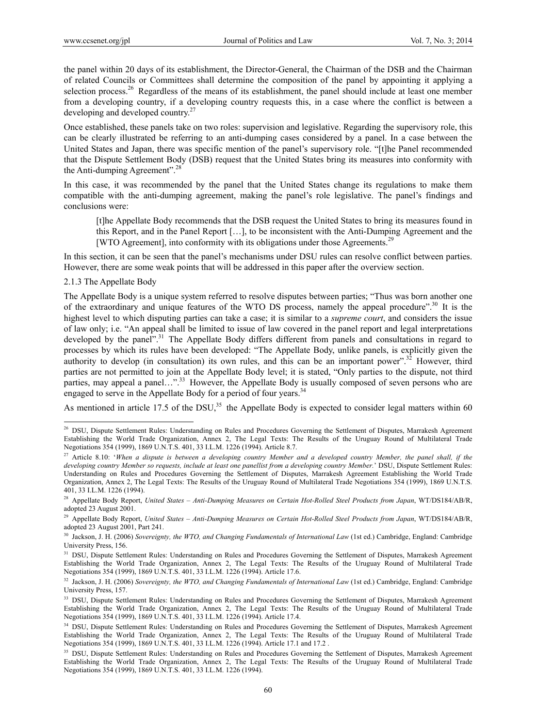the panel within 20 days of its establishment, the Director-General, the Chairman of the DSB and the Chairman of related Councils or Committees shall determine the composition of the panel by appointing it applying a selection process.<sup>26</sup> Regardless of the means of its establishment, the panel should include at least one member from a developing country, if a developing country requests this, in a case where the conflict is between a developing and developed country.<sup>27</sup>

Once established, these panels take on two roles: supervision and legislative. Regarding the supervisory role, this can be clearly illustrated be referring to an anti-dumping cases considered by a panel. In a case between the United States and Japan, there was specific mention of the panel's supervisory role. "[t]he Panel recommended that the Dispute Settlement Body (DSB) request that the United States bring its measures into conformity with the Anti-dumping Agreement".<sup>28</sup>

In this case, it was recommended by the panel that the United States change its regulations to make them compatible with the anti-dumping agreement, making the panel's role legislative. The panel's findings and conclusions were:

 [t]he Appellate Body recommends that the DSB request the United States to bring its measures found in this Report, and in the Panel Report […], to be inconsistent with the Anti-Dumping Agreement and the [WTO Agreement], into conformity with its obligations under those Agreements.<sup>29</sup>

In this section, it can be seen that the panel's mechanisms under DSU rules can resolve conflict between parties. However, there are some weak points that will be addressed in this paper after the overview section.

#### 2.1.3 The Appellate Body

 $\overline{a}$ 

The Appellate Body is a unique system referred to resolve disputes between parties; "Thus was born another one of the extraordinary and unique features of the WTO DS process, namely the appeal procedure".30 It is the highest level to which disputing parties can take a case; it is similar to a *supreme court*, and considers the issue of law only; i.e. "An appeal shall be limited to issue of law covered in the panel report and legal interpretations developed by the panel".<sup>31</sup> The Appellate Body differs different from panels and consultations in regard to processes by which its rules have been developed: "The Appellate Body, unlike panels, is explicitly given the authority to develop (in consultation) its own rules, and this can be an important power".<sup>32</sup> However, third parties are not permitted to join at the Appellate Body level; it is stated, "Only parties to the dispute, not third parties, may appeal a panel…".<sup>33</sup> However, the Appellate Body is usually composed of seven persons who are engaged to serve in the Appellate Body for a period of four years.<sup>34</sup>

As mentioned in article 17.5 of the DSU,<sup>35</sup> the Appellate Body is expected to consider legal matters within 60

<sup>&</sup>lt;sup>26</sup> DSU, Dispute Settlement Rules: Understanding on Rules and Procedures Governing the Settlement of Disputes, Marrakesh Agreement Establishing the World Trade Organization, Annex 2, The Legal Texts: The Results of the Uruguay Round of Multilateral Trade Negotiations 354 (1999), 1869 U.N.T.S. 401, 33 I.L.M. 1226 (1994). Article 8.7.

<sup>27</sup> Article 8.10: '*When a dispute is between a developing country Member and a developed country Member, the panel shall, if the developing country Member so requests, include at least one panellist from a developing country Member.*' DSU, Dispute Settlement Rules: Understanding on Rules and Procedures Governing the Settlement of Disputes, Marrakesh Agreement Establishing the World Trade Organization, Annex 2, The Legal Texts: The Results of the Uruguay Round of Multilateral Trade Negotiations 354 (1999), 1869 U.N.T.S. 401, 33 I.L.M. 1226 (1994).

<sup>28</sup> Appellate Body Report, *United States – Anti-Dumping Measures on Certain Hot-Rolled Steel Products from Japan*, WT/DS184/AB/R, adopted 23 August 2001.

<sup>&</sup>lt;sup>29</sup> Appellate Body Report, *United States - Anti-Dumping Measures on Certain Hot-Rolled Steel Products from Japan*, WT/DS184/AB/R, adopted 23 August 2001, Part 241.

<sup>30</sup> Jackson, J. H. (2006) *Sovereignty, the WTO, and Changing Fundamentals of International Law* (1st ed.) Cambridge, England: Cambridge University Press, 156.

<sup>&</sup>lt;sup>31</sup> DSU, Dispute Settlement Rules: Understanding on Rules and Procedures Governing the Settlement of Disputes, Marrakesh Agreement Establishing the World Trade Organization, Annex 2, The Legal Texts: The Results of the Uruguay Round of Multilateral Trade Negotiations 354 (1999), 1869 U.N.T.S. 401, 33 I.L.M. 1226 (1994). Article 17.6.

<sup>32</sup> Jackson, J. H. (2006) *Sovereignty, the WTO, and Changing Fundamentals of International Law* (1st ed.) Cambridge, England: Cambridge University Press, 157.

<sup>&</sup>lt;sup>33</sup> DSU, Dispute Settlement Rules: Understanding on Rules and Procedures Governing the Settlement of Disputes, Marrakesh Agreement Establishing the World Trade Organization, Annex 2, The Legal Texts: The Results of the Uruguay Round of Multilateral Trade Negotiations 354 (1999), 1869 U.N.T.S. 401, 33 I.L.M. 1226 (1994). Article 17.4.

<sup>&</sup>lt;sup>34</sup> DSU, Dispute Settlement Rules: Understanding on Rules and Procedures Governing the Settlement of Disputes, Marrakesh Agreement Establishing the World Trade Organization, Annex 2, The Legal Texts: The Results of the Uruguay Round of Multilateral Trade Negotiations 354 (1999), 1869 U.N.T.S. 401, 33 I.L.M. 1226 (1994). Article 17.1 and 17.2 .

<sup>&</sup>lt;sup>35</sup> DSU, Dispute Settlement Rules: Understanding on Rules and Procedures Governing the Settlement of Disputes, Marrakesh Agreement Establishing the World Trade Organization, Annex 2, The Legal Texts: The Results of the Uruguay Round of Multilateral Trade Negotiations 354 (1999), 1869 U.N.T.S. 401, 33 I.L.M. 1226 (1994).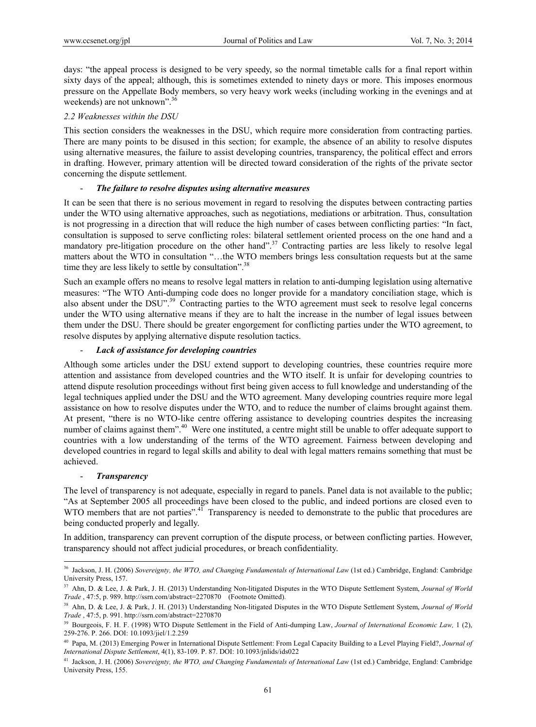days: "the appeal process is designed to be very speedy, so the normal timetable calls for a final report within sixty days of the appeal; although, this is sometimes extended to ninety days or more. This imposes enormous pressure on the Appellate Body members, so very heavy work weeks (including working in the evenings and at weekends) are not unknown".<sup>36</sup>

## *2.2 Weaknesses within the DSU*

This section considers the weaknesses in the DSU, which require more consideration from contracting parties. There are many points to be disused in this section; for example, the absence of an ability to resolve disputes using alternative measures, the failure to assist developing countries, transparency, the political effect and errors in drafting. However, primary attention will be directed toward consideration of the rights of the private sector concerning the dispute settlement.

## - *The failure to resolve disputes using alternative measures*

It can be seen that there is no serious movement in regard to resolving the disputes between contracting parties under the WTO using alternative approaches, such as negotiations, mediations or arbitration. Thus, consultation is not progressing in a direction that will reduce the high number of cases between conflicting parties: "In fact, consultation is supposed to serve conflicting roles: bilateral settlement oriented process on the one hand and a mandatory pre-litigation procedure on the other hand".<sup>37</sup> Contracting parties are less likely to resolve legal matters about the WTO in consultation "…the WTO members brings less consultation requests but at the same time they are less likely to settle by consultation".<sup>38</sup>

Such an example offers no means to resolve legal matters in relation to anti-dumping legislation using alternative measures: "The WTO Anti-dumping code does no longer provide for a mandatory conciliation stage, which is also absent under the DSU".<sup>39</sup> Contracting parties to the WTO agreement must seek to resolve legal concerns under the WTO using alternative means if they are to halt the increase in the number of legal issues between them under the DSU. There should be greater engorgement for conflicting parties under the WTO agreement, to resolve disputes by applying alternative dispute resolution tactics.

## - *Lack of assistance for developing countries*

Although some articles under the DSU extend support to developing countries, these countries require more attention and assistance from developed countries and the WTO itself. It is unfair for developing countries to attend dispute resolution proceedings without first being given access to full knowledge and understanding of the legal techniques applied under the DSU and the WTO agreement. Many developing countries require more legal assistance on how to resolve disputes under the WTO, and to reduce the number of claims brought against them. At present, "there is no WTO-like centre offering assistance to developing countries despites the increasing number of claims against them".<sup>40</sup> Were one instituted, a centre might still be unable to offer adequate support to countries with a low understanding of the terms of the WTO agreement. Fairness between developing and developed countries in regard to legal skills and ability to deal with legal matters remains something that must be achieved.

### - *Transparency*

 $\overline{a}$ 

The level of transparency is not adequate, especially in regard to panels. Panel data is not available to the public; "As at September 2005 all proceedings have been closed to the public, and indeed portions are closed even to WTO members that are not parties".<sup>41</sup> Transparency is needed to demonstrate to the public that procedures are being conducted properly and legally.

In addition, transparency can prevent corruption of the dispute process, or between conflicting parties. However, transparency should not affect judicial procedures, or breach confidentiality.

<sup>36</sup> Jackson, J. H. (2006) *Sovereignty, the WTO, and Changing Fundamentals of International Law* (1st ed.) Cambridge, England: Cambridge University Press, 157.

<sup>37</sup> Ahn, D. & Lee, J. & Park, J. H. (2013) Understanding Non-litigated Disputes in the WTO Dispute Settlement System, *Journal of World* 

<sup>&</sup>lt;sup>38</sup> Ahn, D. & Lee, J. & Park, J. H. (2013) Understanding Non-litigated Disputes in the WTO Dispute Settlement System, *Journal of World* 

*Trade* , 47:5, p. 991. http://ssrn.com/abstract=2270870 39 Bourgeois, F. H. F. (1998) WTO Dispute Settlement in the Field of Anti-dumping Law, *Journal of International Economic Law,* 1 (2),

<sup>259-276.</sup> P. 266. DOI: 10.1093/jiel/1.2.259 40 Papa, M. (2013) Emerging Power in International Dispute Settlement: From Legal Capacity Building to a Level Playing Field?, *Journal of*  International Dispute Settlement, 4(1), 83-109. P. 87. DOI: 10.1093/jnlids/ids022<br><sup>41</sup> Jackson, J. H. (2006) Sovereignty, the WTO, and Changing Fundamentals of International Law (1st ed.) Cambridge, England: Cambridge

University Press, 155.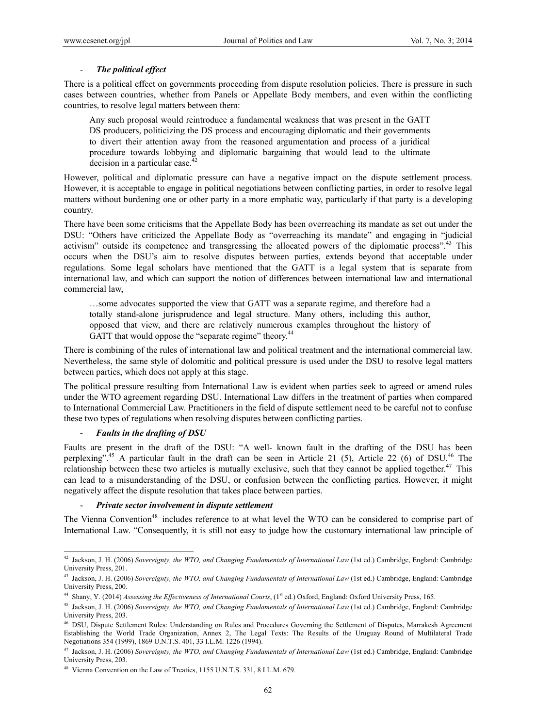## - *The political effect*

There is a political effect on governments proceeding from dispute resolution policies. There is pressure in such cases between countries, whether from Panels or Appellate Body members, and even within the conflicting countries, to resolve legal matters between them:

Any such proposal would reintroduce a fundamental weakness that was present in the GATT DS producers, politicizing the DS process and encouraging diplomatic and their governments to divert their attention away from the reasoned argumentation and process of a juridical procedure towards lobbying and diplomatic bargaining that would lead to the ultimate decision in a particular case.<sup>42</sup>

However, political and diplomatic pressure can have a negative impact on the dispute settlement process. However, it is acceptable to engage in political negotiations between conflicting parties, in order to resolve legal matters without burdening one or other party in a more emphatic way, particularly if that party is a developing country.

There have been some criticisms that the Appellate Body has been overreaching its mandate as set out under the DSU: "Others have criticized the Appellate Body as "overreaching its mandate" and engaging in "judicial activism" outside its competence and transgressing the allocated powers of the diplomatic process".<sup>43</sup> This occurs when the DSU's aim to resolve disputes between parties, extends beyond that acceptable under regulations. Some legal scholars have mentioned that the GATT is a legal system that is separate from international law, and which can support the notion of differences between international law and international commercial law,

…some advocates supported the view that GATT was a separate regime, and therefore had a totally stand-alone jurisprudence and legal structure. Many others, including this author, opposed that view, and there are relatively numerous examples throughout the history of GATT that would oppose the "separate regime" theory.<sup>44</sup>

There is combining of the rules of international law and political treatment and the international commercial law. Nevertheless, the same style of dolomitic and political pressure is used under the DSU to resolve legal matters between parties, which does not apply at this stage.

The political pressure resulting from International Law is evident when parties seek to agreed or amend rules under the WTO agreement regarding DSU. International Law differs in the treatment of parties when compared to International Commercial Law. Practitioners in the field of dispute settlement need to be careful not to confuse these two types of regulations when resolving disputes between conflicting parties.

### - *Faults in the drafting of DSU*

 $\overline{a}$ 

Faults are present in the draft of the DSU: "A well- known fault in the drafting of the DSU has been perplexing".<sup>45</sup> A particular fault in the draft can be seen in Article 21 (5), Article 22 (6) of DSU.<sup>46</sup> The relationship between these two articles is mutually exclusive, such that they cannot be applied together. $47$  This can lead to a misunderstanding of the DSU, or confusion between the conflicting parties. However, it might negatively affect the dispute resolution that takes place between parties.

## - *Private sector involvement in dispute settlement*

The Vienna Convention<sup>48</sup> includes reference to at what level the WTO can be considered to comprise part of International Law. "Consequently, it is still not easy to judge how the customary international law principle of

<sup>42</sup> Jackson, J. H. (2006) *Sovereignty, the WTO, and Changing Fundamentals of International Law* (1st ed.) Cambridge, England: Cambridge University Press, 201.

<sup>43</sup> Jackson, J. H. (2006) *Sovereignty, the WTO, and Changing Fundamentals of International Law* (1st ed.) Cambridge, England: Cambridge University Press, 200.

<sup>&</sup>lt;sup>44</sup> Shany, Y. (2014) *Assessing the Effectiveness of International Courts*, (1<sup>st</sup> ed.) Oxford, England: Oxford University Press, 165.<br><sup>45</sup> Jackson, J. H. (2006) *Sovereignty, the WTO, and Changing Fundamentals of Intern* 

University Press, 203.

<sup>46</sup> DSU, Dispute Settlement Rules: Understanding on Rules and Procedures Governing the Settlement of Disputes, Marrakesh Agreement Establishing the World Trade Organization, Annex 2, The Legal Texts: The Results of the Uruguay Round of Multilateral Trade Negotiations 354 (1999), 1869 U.N.T.S. 401, 33 I.L.M. 1226 (1994).

<sup>47</sup> Jackson, J. H. (2006) *Sovereignty, the WTO, and Changing Fundamentals of International Law* (1st ed.) Cambridge, England: Cambridge University Press, 203.

<sup>48</sup> Vienna Convention on the Law of Treaties, 1155 U.N.T.S. 331, 8 I.L.M. 679.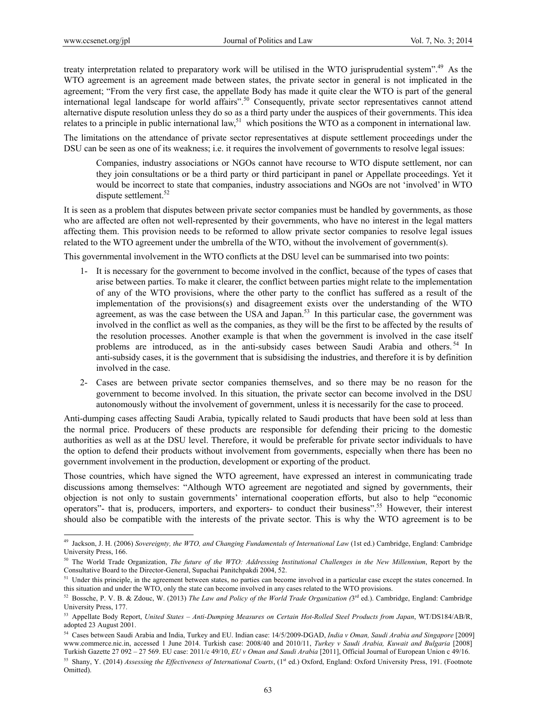treaty interpretation related to preparatory work will be utilised in the WTO jurisprudential system".49 As the WTO agreement is an agreement made between states, the private sector in general is not implicated in the agreement; "From the very first case, the appellate Body has made it quite clear the WTO is part of the general international legal landscape for world affairs".<sup>50</sup> Consequently, private sector representatives cannot attend alternative dispute resolution unless they do so as a third party under the auspices of their governments. This idea relates to a principle in public international law,<sup>51</sup> which positions the WTO as a component in international law.

The limitations on the attendance of private sector representatives at dispute settlement proceedings under the DSU can be seen as one of its weakness; i.e. it requires the involvement of governments to resolve legal issues:

Companies, industry associations or NGOs cannot have recourse to WTO dispute settlement, nor can they join consultations or be a third party or third participant in panel or Appellate proceedings. Yet it would be incorrect to state that companies, industry associations and NGOs are not 'involved' in WTO dispute settlement.<sup>52</sup>

It is seen as a problem that disputes between private sector companies must be handled by governments, as those who are affected are often not well-represented by their governments, who have no interest in the legal matters affecting them. This provision needs to be reformed to allow private sector companies to resolve legal issues related to the WTO agreement under the umbrella of the WTO, without the involvement of government(s).

This governmental involvement in the WTO conflicts at the DSU level can be summarised into two points:

- 1- It is necessary for the government to become involved in the conflict, because of the types of cases that arise between parties. To make it clearer, the conflict between parties might relate to the implementation of any of the WTO provisions, where the other party to the conflict has suffered as a result of the implementation of the provisions(s) and disagreement exists over the understanding of the WTO agreement, as was the case between the USA and Japan.<sup>53</sup> In this particular case, the government was involved in the conflict as well as the companies, as they will be the first to be affected by the results of the resolution processes. Another example is that when the government is involved in the case itself problems are introduced, as in the anti-subsidy cases between Saudi Arabia and others. 54 In anti-subsidy cases, it is the government that is subsidising the industries, and therefore it is by definition involved in the case.
- 2- Cases are between private sector companies themselves, and so there may be no reason for the government to become involved. In this situation, the private sector can become involved in the DSU autonomously without the involvement of government, unless it is necessarily for the case to proceed.

Anti-dumping cases affecting Saudi Arabia, typically related to Saudi products that have been sold at less than the normal price. Producers of these products are responsible for defending their pricing to the domestic authorities as well as at the DSU level. Therefore, it would be preferable for private sector individuals to have the option to defend their products without involvement from governments, especially when there has been no government involvement in the production, development or exporting of the product.

Those countries, which have signed the WTO agreement, have expressed an interest in communicating trade discussions among themselves: "Although WTO agreement are negotiated and signed by governments, their objection is not only to sustain governments' international cooperation efforts, but also to help "economic operators"- that is, producers, importers, and exporters- to conduct their business".55 However, their interest should also be compatible with the interests of the private sector. This is why the WTO agreement is to be

<sup>49</sup> Jackson, J. H. (2006) *Sovereignty, the WTO, and Changing Fundamentals of International Law* (1st ed.) Cambridge, England: Cambridge University Press, 166.

<sup>&</sup>lt;sup>50</sup> The World Trade Organization, *The future of the WTO: Addressing Institutional Challenges in the New Millennium*, Report by the Consultative Board to the Director-General, Supachai Panitchpakdi 2004, 52.

 $S<sup>1</sup>$  Under this principle, in the agreement between states, no parties can become involved in a particular case except the states concerned. In

this situation and under the WTO, only the state can become involved in any cases related to the WTO provisions.<br><sup>52</sup> Bossche, P. V. B. & Zdouc, W. (2013) *The Law and Policy of the World Trade Organization* (3<sup>rd</sup> ed.).

<sup>53</sup> Appellate Body Report, *United States – Anti-Dumping Measures on Certain Hot-Rolled Steel Products from Japan*, WT/DS184/AB/R, adopted 23 August 2001.

<sup>54</sup> Cases between Saudi Arabia and India, Turkey and EU. Indian case: 14/5/2009-DGAD, *India v Oman, Saudi Arabia and Singapore* [2009] www.commerce.nic.in, accessed 1 June 2014. Turkish case: 2008/40 and 2010/11, *Turkey v Saudi Arabia, Kuwait and Bulgaria* [2008]

Turkish Gazette 27 092 - 27 569. EU case: 2011/c 49/10, EU v Oman and Saudi Arabia [2011], Official Journal of European Union c 49/16.<br><sup>55</sup> Shany, Y. (2014) Assessing the Effectiveness of International Courts, (1<sup>st</sup> ed.) Omitted).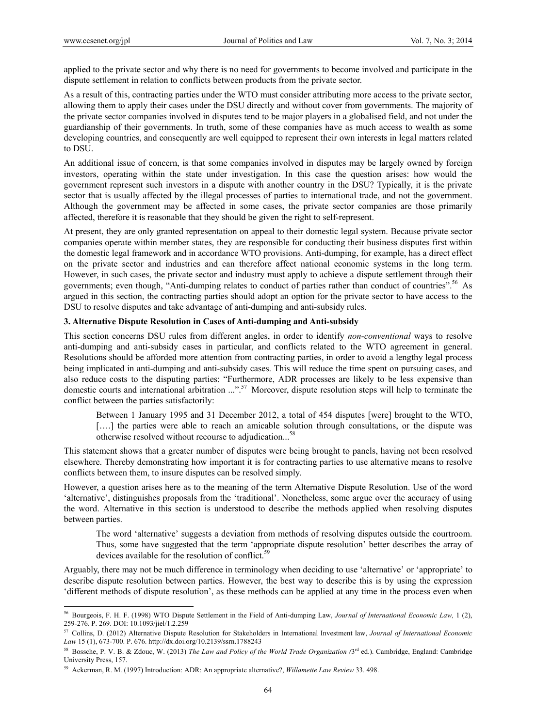applied to the private sector and why there is no need for governments to become involved and participate in the dispute settlement in relation to conflicts between products from the private sector.

As a result of this, contracting parties under the WTO must consider attributing more access to the private sector, allowing them to apply their cases under the DSU directly and without cover from governments. The majority of the private sector companies involved in disputes tend to be major players in a globalised field, and not under the guardianship of their governments. In truth, some of these companies have as much access to wealth as some developing countries, and consequently are well equipped to represent their own interests in legal matters related to DSU.

An additional issue of concern, is that some companies involved in disputes may be largely owned by foreign investors, operating within the state under investigation. In this case the question arises: how would the government represent such investors in a dispute with another country in the DSU? Typically, it is the private sector that is usually affected by the illegal processes of parties to international trade, and not the government. Although the government may be affected in some cases, the private sector companies are those primarily affected, therefore it is reasonable that they should be given the right to self-represent.

At present, they are only granted representation on appeal to their domestic legal system. Because private sector companies operate within member states, they are responsible for conducting their business disputes first within the domestic legal framework and in accordance WTO provisions. Anti-dumping, for example, has a direct effect on the private sector and industries and can therefore affect national economic systems in the long term. However, in such cases, the private sector and industry must apply to achieve a dispute settlement through their governments; even though, "Anti-dumping relates to conduct of parties rather than conduct of countries".56 As argued in this section, the contracting parties should adopt an option for the private sector to have access to the DSU to resolve disputes and take advantage of anti-dumping and anti-subsidy rules.

#### **3. Alternative Dispute Resolution in Cases of Anti-dumping and Anti-subsidy**

This section concerns DSU rules from different angles, in order to identify *non-conventional* ways to resolve anti-dumping and anti-subsidy cases in particular, and conflicts related to the WTO agreement in general. Resolutions should be afforded more attention from contracting parties, in order to avoid a lengthy legal process being implicated in anti-dumping and anti-subsidy cases. This will reduce the time spent on pursuing cases, and also reduce costs to the disputing parties: "Furthermore, ADR processes are likely to be less expensive than domestic courts and international arbitration ...".<sup>57</sup> Moreover, dispute resolution steps will help to terminate the conflict between the parties satisfactorily:

 Between 1 January 1995 and 31 December 2012, a total of 454 disputes [were] brought to the WTO, [....] the parties were able to reach an amicable solution through consultations, or the dispute was otherwise resolved without recourse to adjudication...<sup>58</sup>

This statement shows that a greater number of disputes were being brought to panels, having not been resolved elsewhere. Thereby demonstrating how important it is for contracting parties to use alternative means to resolve conflicts between them, to insure disputes can be resolved simply.

However, a question arises here as to the meaning of the term Alternative Dispute Resolution. Use of the word 'alternative', distinguishes proposals from the 'traditional'. Nonetheless, some argue over the accuracy of using the word. Alternative in this section is understood to describe the methods applied when resolving disputes between parties.

The word 'alternative' suggests a deviation from methods of resolving disputes outside the courtroom. Thus, some have suggested that the term 'appropriate dispute resolution' better describes the array of devices available for the resolution of conflict.<sup>59</sup>

Arguably, there may not be much difference in terminology when deciding to use 'alternative' or 'appropriate' to describe dispute resolution between parties. However, the best way to describe this is by using the expression 'different methods of dispute resolution', as these methods can be applied at any time in the process even when

<sup>56</sup> Bourgeois, F. H. F. (1998) WTO Dispute Settlement in the Field of Anti-dumping Law, *Journal of International Economic Law,* 1 (2), 259-276. P. 269. DOI: 10.1093/jiel/1.2.259 57 Collins, D. (2012) Alternative Dispute Resolution for Stakeholders in International Investment law, *Journal of International Economic* 

*Law* 15 (1), 673-700. P. 676. http://dx.doi.org/10.2139/ssrn.1788243<br><sup>58</sup> Bossche, P. V. B. & Zdouc, W. (2013) *The Law and Policy of the World Trade Organization (*3<sup>rd</sup> ed.). Cambridge, England: Cambridge

University Press, 157.

<sup>59</sup> Ackerman, R. M. (1997) Introduction: ADR: An appropriate alternative?, *Willamette Law Review* 33. 498.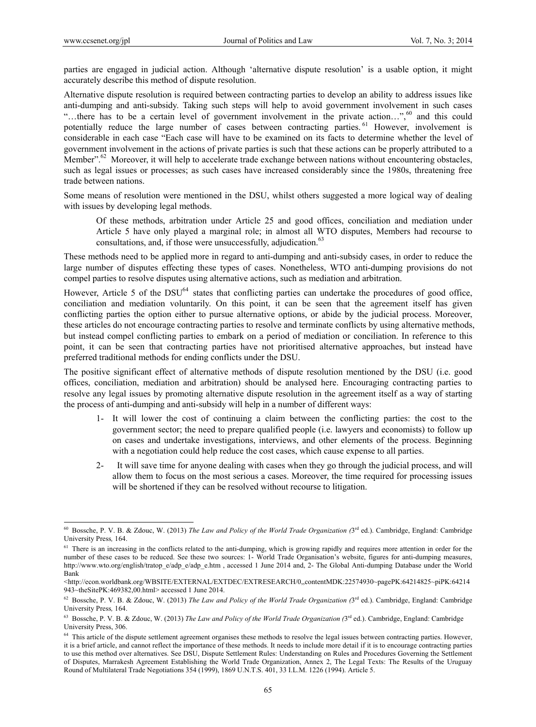parties are engaged in judicial action. Although 'alternative dispute resolution' is a usable option, it might accurately describe this method of dispute resolution.

Alternative dispute resolution is required between contracting parties to develop an ability to address issues like anti-dumping and anti-subsidy. Taking such steps will help to avoid government involvement in such cases "...there has to be a certain level of government involvement in the private action...",<sup>60</sup> and this could potentially reduce the large number of cases between contracting parties. 61 However, involvement is considerable in each case "Each case will have to be examined on its facts to determine whether the level of government involvement in the actions of private parties is such that these actions can be properly attributed to a Member".<sup>62</sup> Moreover, it will help to accelerate trade exchange between nations without encountering obstacles, such as legal issues or processes; as such cases have increased considerably since the 1980s, threatening free trade between nations.

Some means of resolution were mentioned in the DSU, whilst others suggested a more logical way of dealing with issues by developing legal methods.

Of these methods, arbitration under Article 25 and good offices, conciliation and mediation under Article 5 have only played a marginal role; in almost all WTO disputes, Members had recourse to consultations, and, if those were unsuccessfully, adjudication.<sup>63</sup>

These methods need to be applied more in regard to anti-dumping and anti-subsidy cases, in order to reduce the large number of disputes effecting these types of cases. Nonetheless, WTO anti-dumping provisions do not compel parties to resolve disputes using alternative actions, such as mediation and arbitration.

However, Article 5 of the  $DSU<sup>64</sup>$  states that conflicting parties can undertake the procedures of good office, conciliation and mediation voluntarily. On this point, it can be seen that the agreement itself has given conflicting parties the option either to pursue alternative options, or abide by the judicial process. Moreover, these articles do not encourage contracting parties to resolve and terminate conflicts by using alternative methods, but instead compel conflicting parties to embark on a period of mediation or conciliation. In reference to this point, it can be seen that contracting parties have not prioritised alternative approaches, but instead have preferred traditional methods for ending conflicts under the DSU.

The positive significant effect of alternative methods of dispute resolution mentioned by the DSU (i.e. good offices, conciliation, mediation and arbitration) should be analysed here. Encouraging contracting parties to resolve any legal issues by promoting alternative dispute resolution in the agreement itself as a way of starting the process of anti-dumping and anti-subsidy will help in a number of different ways:

- 1- It will lower the cost of continuing a claim between the conflicting parties: the cost to the government sector; the need to prepare qualified people (i.e. lawyers and economists) to follow up on cases and undertake investigations, interviews, and other elements of the process. Beginning with a negotiation could help reduce the cost cases, which cause expense to all parties.
- 2- It will save time for anyone dealing with cases when they go through the judicial process, and will allow them to focus on the most serious a cases. Moreover, the time required for processing issues will be shortened if they can be resolved without recourse to litigation.

<sup>60</sup> Bossche, P. V. B. & Zdouc, W. (2013) *The Law and Policy of the World Trade Organization (*3rd ed.). Cambridge, England: Cambridge

University Press, 164.<br><sup>61</sup> There is an increasing in the conflicts related to the anti-dumping, which is growing rapidly and requires more attention in order for the number of these cases to be reduced. See these two sources: 1- World Trade Organisation's website, figures for anti-dumping measures, http://www.wto.org/english/tratop\_e/adp\_e/adp\_e.htm , accessed 1 June 2014 and, 2- The Global Anti-dumping Database under the World Bank

<sup>&</sup>lt;http://econ.worldbank.org/WBSITE/EXTERNAL/EXTDEC/EXTRESEARCH/0,,contentMDK:22574930~pagePK:64214825~piPK:64214

<sup>943~</sup>theSitePK:469382,00.html> accessed 1 June 2014.<br><sup>62</sup> Bossche, P. V. B. & Zdouc, W. (2013) *The Law and Policy of the World Trade Organization (*3<sup>rd</sup> ed.). Cambridge, England: Cambridge University Press, 164.<br><sup>63</sup> Bossche, P. V. B. & Zdouc, W. (2013) *The Law and Policy of the World Trade Organization* (3<sup>rd</sup> ed.). Cambridge, England: Cambridge

University Press, 306.

<sup>&</sup>lt;sup>64</sup> This article of the dispute settlement agreement organises these methods to resolve the legal issues between contracting parties. However, it is a brief article, and cannot reflect the importance of these methods. It needs to include more detail if it is to encourage contracting parties to use this method over alternatives. See DSU, Dispute Settlement Rules: Understanding on Rules and Procedures Governing the Settlement of Disputes, Marrakesh Agreement Establishing the World Trade Organization, Annex 2, The Legal Texts: The Results of the Uruguay Round of Multilateral Trade Negotiations 354 (1999), 1869 U.N.T.S. 401, 33 I.L.M. 1226 (1994). Article 5.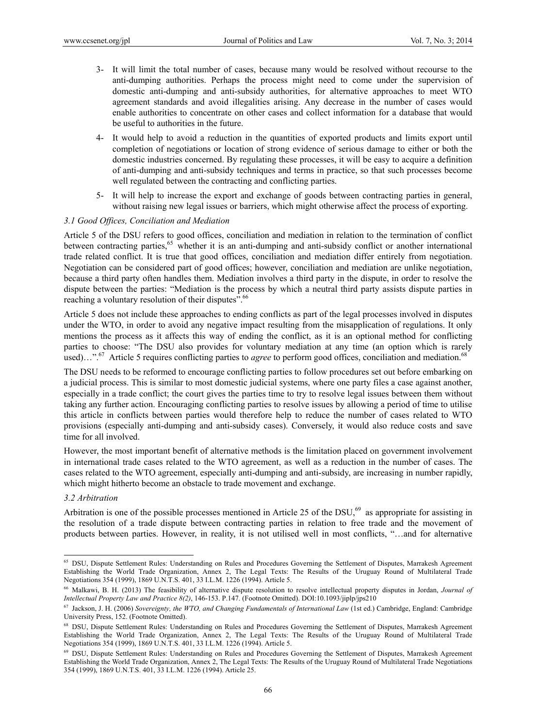- 3- It will limit the total number of cases, because many would be resolved without recourse to the anti-dumping authorities. Perhaps the process might need to come under the supervision of domestic anti-dumping and anti-subsidy authorities, for alternative approaches to meet WTO agreement standards and avoid illegalities arising. Any decrease in the number of cases would enable authorities to concentrate on other cases and collect information for a database that would be useful to authorities in the future.
- 4- It would help to avoid a reduction in the quantities of exported products and limits export until completion of negotiations or location of strong evidence of serious damage to either or both the domestic industries concerned. By regulating these processes, it will be easy to acquire a definition of anti-dumping and anti-subsidy techniques and terms in practice, so that such processes become well regulated between the contracting and conflicting parties.
- 5- It will help to increase the export and exchange of goods between contracting parties in general, without raising new legal issues or barriers, which might otherwise affect the process of exporting.

## *3.1 Good Offices, Conciliation and Mediation*

Article 5 of the DSU refers to good offices, conciliation and mediation in relation to the termination of conflict between contracting parties,<sup>65</sup> whether it is an anti-dumping and anti-subsidy conflict or another international trade related conflict. It is true that good offices, conciliation and mediation differ entirely from negotiation. Negotiation can be considered part of good offices; however, conciliation and mediation are unlike negotiation, because a third party often handles them. Mediation involves a third party in the dispute, in order to resolve the dispute between the parties: "Mediation is the process by which a neutral third party assists dispute parties in reaching a voluntary resolution of their disputes".<sup>66</sup>

Article 5 does not include these approaches to ending conflicts as part of the legal processes involved in disputes under the WTO, in order to avoid any negative impact resulting from the misapplication of regulations. It only mentions the process as it affects this way of ending the conflict, as it is an optional method for conflicting parties to choose: "The DSU also provides for voluntary mediation at any time (an option which is rarely used)…".<sup>67</sup> Article 5 requires conflicting parties to *agree* to perform good offices, conciliation and mediation.<sup>68</sup>

The DSU needs to be reformed to encourage conflicting parties to follow procedures set out before embarking on a judicial process. This is similar to most domestic judicial systems, where one party files a case against another, especially in a trade conflict; the court gives the parties time to try to resolve legal issues between them without taking any further action. Encouraging conflicting parties to resolve issues by allowing a period of time to utilise this article in conflicts between parties would therefore help to reduce the number of cases related to WTO provisions (especially anti-dumping and anti-subsidy cases). Conversely, it would also reduce costs and save time for all involved.

However, the most important benefit of alternative methods is the limitation placed on government involvement in international trade cases related to the WTO agreement, as well as a reduction in the number of cases. The cases related to the WTO agreement, especially anti-dumping and anti-subsidy, are increasing in number rapidly, which might hitherto become an obstacle to trade movement and exchange.

#### *3.2 Arbitration*

Arbitration is one of the possible processes mentioned in Article 25 of the DSU,<sup>69</sup> as appropriate for assisting in the resolution of a trade dispute between contracting parties in relation to free trade and the movement of products between parties. However, in reality, it is not utilised well in most conflicts, "…and for alternative

 $\overline{a}$ 65 DSU, Dispute Settlement Rules: Understanding on Rules and Procedures Governing the Settlement of Disputes, Marrakesh Agreement Establishing the World Trade Organization, Annex 2, The Legal Texts: The Results of the Uruguay Round of Multilateral Trade Negotiations 354 (1999), 1869 U.N.T.S. 401, 33 I.L.M. 1226 (1994). Article 5.

<sup>66</sup> Malkawi, B. H. (2013) The feasibility of alternative dispute resolution to resolve intellectual property disputes in Jordan, *Journal of*  Intellectual Property Law and Practice 8(2), 146-153. P.147. (Footnote Omitted). DOI:10.1093/jiplp/jps210<br><sup>67</sup> Jackson, J. H. (2006) Sovereignty, the WTO, and Changing Fundamentals of International Law (1st ed.) Cambridge,

University Press, 152. (Footnote Omitted).

<sup>68</sup> DSU, Dispute Settlement Rules: Understanding on Rules and Procedures Governing the Settlement of Disputes, Marrakesh Agreement Establishing the World Trade Organization, Annex 2, The Legal Texts: The Results of the Uruguay Round of Multilateral Trade Negotiations 354 (1999), 1869 U.N.T.S. 401, 33 I.L.M. 1226 (1994). Article 5.

<sup>69</sup> DSU, Dispute Settlement Rules: Understanding on Rules and Procedures Governing the Settlement of Disputes, Marrakesh Agreement Establishing the World Trade Organization, Annex 2, The Legal Texts: The Results of the Uruguay Round of Multilateral Trade Negotiations 354 (1999), 1869 U.N.T.S. 401, 33 I.L.M. 1226 (1994). Article 25.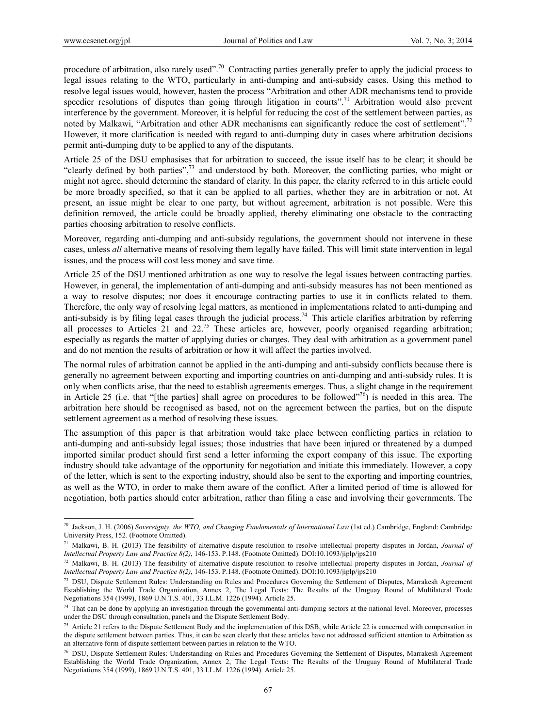procedure of arbitration, also rarely used".<sup>70</sup> Contracting parties generally prefer to apply the judicial process to legal issues relating to the WTO, particularly in anti-dumping and anti-subsidy cases. Using this method to resolve legal issues would, however, hasten the process "Arbitration and other ADR mechanisms tend to provide speedier resolutions of disputes than going through litigation in courts".<sup>71</sup> Arbitration would also prevent interference by the government. Moreover, it is helpful for reducing the cost of the settlement between parties, as noted by Malkawi, "Arbitration and other ADR mechanisms can significantly reduce the cost of settlement".<sup>72</sup> However, it more clarification is needed with regard to anti-dumping duty in cases where arbitration decisions permit anti-dumping duty to be applied to any of the disputants.

Article 25 of the DSU emphasises that for arbitration to succeed, the issue itself has to be clear; it should be "clearly defined by both parties",73 and understood by both. Moreover, the conflicting parties, who might or might not agree, should determine the standard of clarity. In this paper, the clarity referred to in this article could be more broadly specified, so that it can be applied to all parties, whether they are in arbitration or not. At present, an issue might be clear to one party, but without agreement, arbitration is not possible. Were this definition removed, the article could be broadly applied, thereby eliminating one obstacle to the contracting parties choosing arbitration to resolve conflicts.

Moreover, regarding anti-dumping and anti-subsidy regulations, the government should not intervene in these cases, unless *all* alternative means of resolving them legally have failed. This will limit state intervention in legal issues, and the process will cost less money and save time.

Article 25 of the DSU mentioned arbitration as one way to resolve the legal issues between contracting parties. However, in general, the implementation of anti-dumping and anti-subsidy measures has not been mentioned as a way to resolve disputes; nor does it encourage contracting parties to use it in conflicts related to them. Therefore, the only way of resolving legal matters, as mentioned in implementations related to anti-dumping and anti-subsidy is by filing legal cases through the judicial process.<sup>74</sup> This article clarifies arbitration by referring all processes to Articles 21 and 22.<sup>75</sup> These articles are, however, poorly organised regarding arbitration; especially as regards the matter of applying duties or charges. They deal with arbitration as a government panel and do not mention the results of arbitration or how it will affect the parties involved.

The normal rules of arbitration cannot be applied in the anti-dumping and anti-subsidy conflicts because there is generally no agreement between exporting and importing countries on anti-dumping and anti-subsidy rules. It is only when conflicts arise, that the need to establish agreements emerges. Thus, a slight change in the requirement in Article 25 (i.e. that "[the parties] shall agree on procedures to be followed"<sup>76</sup>) is needed in this area. The arbitration here should be recognised as based, not on the agreement between the parties, but on the dispute settlement agreement as a method of resolving these issues.

The assumption of this paper is that arbitration would take place between conflicting parties in relation to anti-dumping and anti-subsidy legal issues; those industries that have been injured or threatened by a dumped imported similar product should first send a letter informing the export company of this issue. The exporting industry should take advantage of the opportunity for negotiation and initiate this immediately. However, a copy of the letter, which is sent to the exporting industry, should also be sent to the exporting and importing countries, as well as the WTO, in order to make them aware of the conflict. After a limited period of time is allowed for negotiation, both parties should enter arbitration, rather than filing a case and involving their governments. The

<sup>70</sup> Jackson, J. H. (2006) *Sovereignty, the WTO, and Changing Fundamentals of International Law* (1st ed.) Cambridge, England: Cambridge University Press, 152. (Footnote Omitted).

<sup>&</sup>lt;sup>71</sup> Malkawi, B. H. (2013) The feasibility of alternative dispute resolution to resolve intellectual property disputes in Jordan, *Journal of Intellectual Property Law and Practice 8(2)*, 146-153. P.148. (Footnote Omitted

 $^{72}$  Malkawi, B. H. (2013) The feasibility of alternative dispute resolution to resolve intellectual property disputes in Jordan, Journal of *Intellectual Property Law and Practice 8(2)*, 146-153. P.148. (Footnote Omitted). DOI:10.1093/jiplp/jps210<br><sup>73</sup> DSU, Dispute Settlement Rules: Understanding on Rules and Procedures Governing the Settlement of Disputes, M

Establishing the World Trade Organization, Annex 2, The Legal Texts: The Results of the Uruguay Round of Multilateral Trade Negotiations 354 (1999), 1869 U.N.T.S. 401, 33 I.L.M. 1226 (1994). Article 25.

<sup>&</sup>lt;sup>74</sup> That can be done by applying an investigation through the governmental anti-dumping sectors at the national level. Moreover, processes under the DSU through consultation, panels and the Dispute Settlement Body.

 $75$  Article 21 refers to the Dispute Settlement Body and the implementation of this DSB, while Article 22 is concerned with compensation in the dispute settlement between parties. Thus, it can be seen clearly that these articles have not addressed sufficient attention to Arbitration as

an alternative form of dispute settlement between parties in relation to the WTO.<br><sup>76</sup> DSU, Dispute Settlement Rules: Understanding on Rules and Procedures Governing the Settlement of Disputes, Marrakesh Agreement Establishing the World Trade Organization, Annex 2, The Legal Texts: The Results of the Uruguay Round of Multilateral Trade Negotiations 354 (1999), 1869 U.N.T.S. 401, 33 I.L.M. 1226 (1994). Article 25.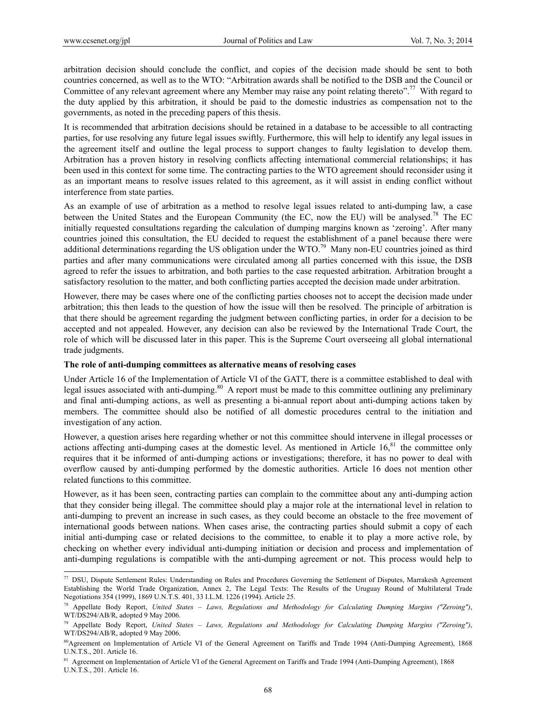arbitration decision should conclude the conflict, and copies of the decision made should be sent to both countries concerned, as well as to the WTO: "Arbitration awards shall be notified to the DSB and the Council or Committee of any relevant agreement where any Member may raise any point relating thereto".<sup>77</sup> With regard to the duty applied by this arbitration, it should be paid to the domestic industries as compensation not to the governments, as noted in the preceding papers of this thesis.

It is recommended that arbitration decisions should be retained in a database to be accessible to all contracting parties, for use resolving any future legal issues swiftly. Furthermore, this will help to identify any legal issues in the agreement itself and outline the legal process to support changes to faulty legislation to develop them. Arbitration has a proven history in resolving conflicts affecting international commercial relationships; it has been used in this context for some time. The contracting parties to the WTO agreement should reconsider using it as an important means to resolve issues related to this agreement, as it will assist in ending conflict without interference from state parties.

As an example of use of arbitration as a method to resolve legal issues related to anti-dumping law, a case between the United States and the European Community (the EC, now the EU) will be analysed.78 The EC initially requested consultations regarding the calculation of dumping margins known as 'zeroing'. After many countries joined this consultation, the EU decided to request the establishment of a panel because there were additional determinations regarding the US obligation under the WTO.<sup>79</sup> Many non-EU countries joined as third parties and after many communications were circulated among all parties concerned with this issue, the DSB agreed to refer the issues to arbitration, and both parties to the case requested arbitration. Arbitration brought a satisfactory resolution to the matter, and both conflicting parties accepted the decision made under arbitration.

However, there may be cases where one of the conflicting parties chooses not to accept the decision made under arbitration; this then leads to the question of how the issue will then be resolved. The principle of arbitration is that there should be agreement regarding the judgment between conflicting parties, in order for a decision to be accepted and not appealed. However, any decision can also be reviewed by the International Trade Court, the role of which will be discussed later in this paper. This is the Supreme Court overseeing all global international trade judgments.

#### **The role of anti-dumping committees as alternative means of resolving cases**

Under Article 16 of the Implementation of Article VI of the GATT, there is a committee established to deal with legal issues associated with anti-dumping.<sup>80</sup> A report must be made to this committee outlining any preliminary and final anti-dumping actions, as well as presenting a bi-annual report about anti-dumping actions taken by members. The committee should also be notified of all domestic procedures central to the initiation and investigation of any action.

However, a question arises here regarding whether or not this committee should intervene in illegal processes or actions affecting anti-dumping cases at the domestic level. As mentioned in Article  $16$ , $81$  the committee only requires that it be informed of anti-dumping actions or investigations; therefore, it has no power to deal with overflow caused by anti-dumping performed by the domestic authorities. Article 16 does not mention other related functions to this committee.

However, as it has been seen, contracting parties can complain to the committee about any anti-dumping action that they consider being illegal. The committee should play a major role at the international level in relation to anti-dumping to prevent an increase in such cases, as they could become an obstacle to the free movement of international goods between nations. When cases arise, the contracting parties should submit a copy of each initial anti-dumping case or related decisions to the committee, to enable it to play a more active role, by checking on whether every individual anti-dumping initiation or decision and process and implementation of anti-dumping regulations is compatible with the anti-dumping agreement or not. This process would help to

<sup>77</sup> DSU, Dispute Settlement Rules: Understanding on Rules and Procedures Governing the Settlement of Disputes, Marrakesh Agreement Establishing the World Trade Organization, Annex 2, The Legal Texts: The Results of the Uruguay Round of Multilateral Trade Negotiations 354 (1999), 1869 U.N.T.S. 401, 33 I.L.M. 1226 (1994). Article 25.

<sup>78</sup> Appellate Body Report, *United States – Laws, Regulations and Methodology for Calculating Dumping Margins ("Zeroing")*, WT/DS294/AB/R, adopted 9 May 2006.

<sup>79</sup> Appellate Body Report, *United States – Laws, Regulations and Methodology for Calculating Dumping Margins ("Zeroing")*, WT/DS294/AB/R, adopted 9 May 2006.

<sup>80</sup>Agreement on Implementation of Article VI of the General Agreement on Tariffs and Trade 1994 (Anti-Dumping Agreement), 1868 U.N.T.S., 201. Article 16.

<sup>81</sup> Agreement on Implementation of Article VI of the General Agreement on Tariffs and Trade 1994 (Anti-Dumping Agreement), 1868 U.N.T.S., 201. Article 16.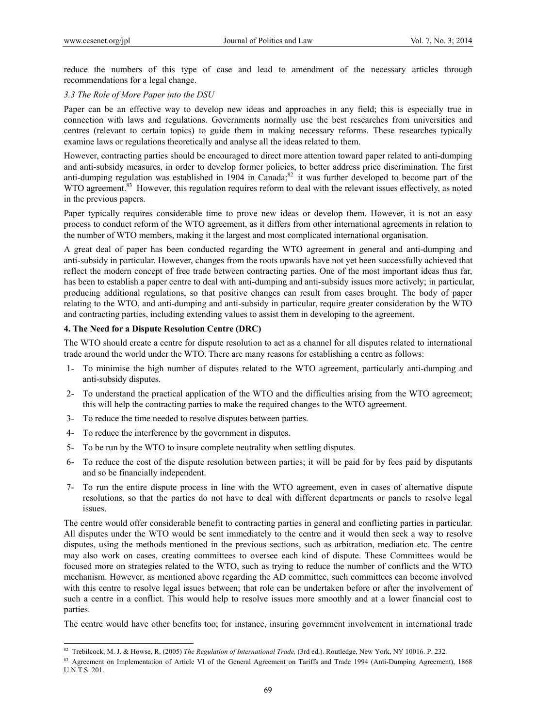reduce the numbers of this type of case and lead to amendment of the necessary articles through recommendations for a legal change.

### *3.3 The Role of More Paper into the DSU*

Paper can be an effective way to develop new ideas and approaches in any field; this is especially true in connection with laws and regulations. Governments normally use the best researches from universities and centres (relevant to certain topics) to guide them in making necessary reforms. These researches typically examine laws or regulations theoretically and analyse all the ideas related to them.

However, contracting parties should be encouraged to direct more attention toward paper related to anti-dumping and anti-subsidy measures, in order to develop former policies, to better address price discrimination. The first anti-dumping regulation was established in 1904 in Canada; $82$  it was further developed to become part of the WTO agreement.<sup>83</sup> However, this regulation requires reform to deal with the relevant issues effectively, as noted in the previous papers.

Paper typically requires considerable time to prove new ideas or develop them. However, it is not an easy process to conduct reform of the WTO agreement, as it differs from other international agreements in relation to the number of WTO members, making it the largest and most complicated international organisation.

A great deal of paper has been conducted regarding the WTO agreement in general and anti-dumping and anti-subsidy in particular. However, changes from the roots upwards have not yet been successfully achieved that reflect the modern concept of free trade between contracting parties. One of the most important ideas thus far, has been to establish a paper centre to deal with anti-dumping and anti-subsidy issues more actively; in particular, producing additional regulations, so that positive changes can result from cases brought. The body of paper relating to the WTO, and anti-dumping and anti-subsidy in particular, require greater consideration by the WTO and contracting parties, including extending values to assist them in developing to the agreement.

#### **4. The Need for a Dispute Resolution Centre (DRC)**

The WTO should create a centre for dispute resolution to act as a channel for all disputes related to international trade around the world under the WTO. There are many reasons for establishing a centre as follows:

- 1- To minimise the high number of disputes related to the WTO agreement, particularly anti-dumping and anti-subsidy disputes.
- 2- To understand the practical application of the WTO and the difficulties arising from the WTO agreement; this will help the contracting parties to make the required changes to the WTO agreement.
- 3- To reduce the time needed to resolve disputes between parties.
- 4- To reduce the interference by the government in disputes.
- 5- To be run by the WTO to insure complete neutrality when settling disputes.
- 6- To reduce the cost of the dispute resolution between parties; it will be paid for by fees paid by disputants and so be financially independent.
- 7- To run the entire dispute process in line with the WTO agreement, even in cases of alternative dispute resolutions, so that the parties do not have to deal with different departments or panels to resolve legal issues.

The centre would offer considerable benefit to contracting parties in general and conflicting parties in particular. All disputes under the WTO would be sent immediately to the centre and it would then seek a way to resolve disputes, using the methods mentioned in the previous sections, such as arbitration, mediation etc. The centre may also work on cases, creating committees to oversee each kind of dispute. These Committees would be focused more on strategies related to the WTO, such as trying to reduce the number of conflicts and the WTO mechanism. However, as mentioned above regarding the AD committee, such committees can become involved with this centre to resolve legal issues between; that role can be undertaken before or after the involvement of such a centre in a conflict. This would help to resolve issues more smoothly and at a lower financial cost to parties.

The centre would have other benefits too; for instance, insuring government involvement in international trade

<sup>&</sup>lt;sup>82</sup> Trebilcock, M. J. & Howse, R. (2005) The Regulation of International Trade, (3rd ed.). Routledge, New York, NY 10016. P. 232.

<sup>83</sup> Agreement on Implementation of Article VI of the General Agreement on Tariffs and Trade 1994 (Anti-Dumping Agreement), 1868 U.N.T.S. 201.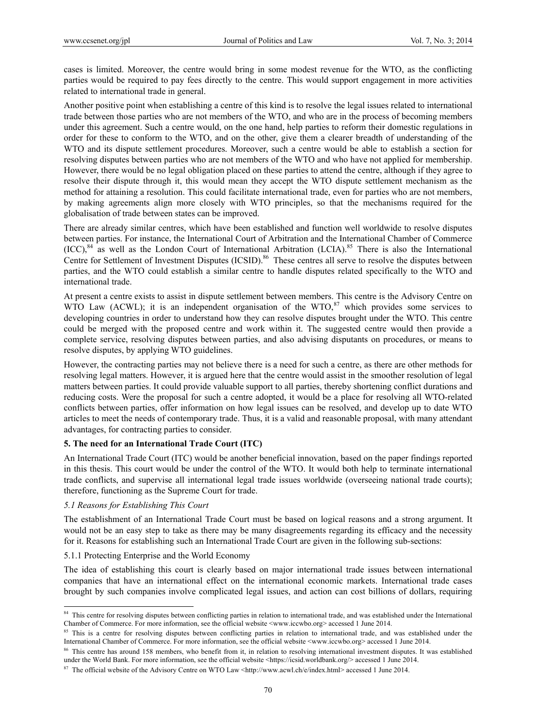cases is limited. Moreover, the centre would bring in some modest revenue for the WTO, as the conflicting parties would be required to pay fees directly to the centre. This would support engagement in more activities related to international trade in general.

Another positive point when establishing a centre of this kind is to resolve the legal issues related to international trade between those parties who are not members of the WTO, and who are in the process of becoming members under this agreement. Such a centre would, on the one hand, help parties to reform their domestic regulations in order for these to conform to the WTO, and on the other, give them a clearer breadth of understanding of the WTO and its dispute settlement procedures. Moreover, such a centre would be able to establish a section for resolving disputes between parties who are not members of the WTO and who have not applied for membership. However, there would be no legal obligation placed on these parties to attend the centre, although if they agree to resolve their dispute through it, this would mean they accept the WTO dispute settlement mechanism as the method for attaining a resolution. This could facilitate international trade, even for parties who are not members, by making agreements align more closely with WTO principles, so that the mechanisms required for the globalisation of trade between states can be improved.

There are already similar centres, which have been established and function well worldwide to resolve disputes between parties. For instance, the International Court of Arbitration and the International Chamber of Commerce  $(ICC)$ ,<sup>84</sup> as well as the London Court of International Arbitration (LCIA).<sup>85</sup> There is also the International Centre for Settlement of Investment Disputes (ICSID).<sup>86</sup> These centres all serve to resolve the disputes between parties, and the WTO could establish a similar centre to handle disputes related specifically to the WTO and international trade.

At present a centre exists to assist in dispute settlement between members. This centre is the Advisory Centre on WTO Law (ACWL); it is an independent organisation of the WTO, $^{87}$  which provides some services to developing countries in order to understand how they can resolve disputes brought under the WTO. This centre could be merged with the proposed centre and work within it. The suggested centre would then provide a complete service, resolving disputes between parties, and also advising disputants on procedures, or means to resolve disputes, by applying WTO guidelines.

However, the contracting parties may not believe there is a need for such a centre, as there are other methods for resolving legal matters. However, it is argued here that the centre would assist in the smoother resolution of legal matters between parties. It could provide valuable support to all parties, thereby shortening conflict durations and reducing costs. Were the proposal for such a centre adopted, it would be a place for resolving all WTO-related conflicts between parties, offer information on how legal issues can be resolved, and develop up to date WTO articles to meet the needs of contemporary trade. Thus, it is a valid and reasonable proposal, with many attendant advantages, for contracting parties to consider.

### **5. The need for an International Trade Court (ITC)**

An International Trade Court (ITC) would be another beneficial innovation, based on the paper findings reported in this thesis. This court would be under the control of the WTO. It would both help to terminate international trade conflicts, and supervise all international legal trade issues worldwide (overseeing national trade courts); therefore, functioning as the Supreme Court for trade.

### *5.1 Reasons for Establishing This Court*

 $\overline{a}$ 

The establishment of an International Trade Court must be based on logical reasons and a strong argument. It would not be an easy step to take as there may be many disagreements regarding its efficacy and the necessity for it. Reasons for establishing such an International Trade Court are given in the following sub-sections:

### 5.1.1 Protecting Enterprise and the World Economy

The idea of establishing this court is clearly based on major international trade issues between international companies that have an international effect on the international economic markets. International trade cases brought by such companies involve complicated legal issues, and action can cost billions of dollars, requiring

<sup>&</sup>lt;sup>84</sup> This centre for resolving disputes between conflicting parties in relation to international trade, and was established under the International Chamber of Commerce. For more information, see the official website <www.iccwbo.org> accessed 1 June 2014.<br><sup>85</sup> This is a centre for resolving disputes between conflicting parties in relation to international trade, and wa

International Chamber of Commerce. For more information, see the official website <www.iccwbo.org> accessed 1 June 2014.<br><sup>86</sup> This centre has around 158 members, who benefit from it, in relation to resolving international

<sup>&</sup>lt;sup>87</sup> The official website of the Advisory Centre on WTO Law <http://www.acwl.ch/e/index.html> accessed 1 June 2014.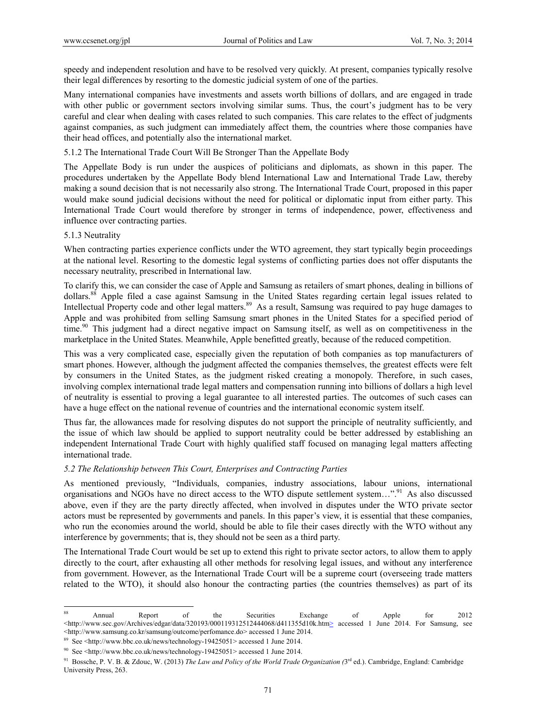speedy and independent resolution and have to be resolved very quickly. At present, companies typically resolve their legal differences by resorting to the domestic judicial system of one of the parties.

Many international companies have investments and assets worth billions of dollars, and are engaged in trade with other public or government sectors involving similar sums. Thus, the court's judgment has to be very careful and clear when dealing with cases related to such companies. This care relates to the effect of judgments against companies, as such judgment can immediately affect them, the countries where those companies have their head offices, and potentially also the international market.

5.1.2 The International Trade Court Will Be Stronger Than the Appellate Body

The Appellate Body is run under the auspices of politicians and diplomats, as shown in this paper. The procedures undertaken by the Appellate Body blend International Law and International Trade Law, thereby making a sound decision that is not necessarily also strong. The International Trade Court, proposed in this paper would make sound judicial decisions without the need for political or diplomatic input from either party. This International Trade Court would therefore by stronger in terms of independence, power, effectiveness and influence over contracting parties.

### 5.1.3 Neutrality

When contracting parties experience conflicts under the WTO agreement, they start typically begin proceedings at the national level. Resorting to the domestic legal systems of conflicting parties does not offer disputants the necessary neutrality, prescribed in International law.

To clarify this, we can consider the case of Apple and Samsung as retailers of smart phones, dealing in billions of dollars.<sup>88</sup> Apple filed a case against Samsung in the United States regarding certain legal issues related to Intellectual Property code and other legal matters.<sup>89</sup> As a result, Samsung was required to pay huge damages to Apple and was prohibited from selling Samsung smart phones in the United States for a specified period of time.<sup>90</sup> This judgment had a direct negative impact on Samsung itself, as well as on competitiveness in the marketplace in the United States. Meanwhile, Apple benefitted greatly, because of the reduced competition.

This was a very complicated case, especially given the reputation of both companies as top manufacturers of smart phones. However, although the judgment affected the companies themselves, the greatest effects were felt by consumers in the United States, as the judgment risked creating a monopoly. Therefore, in such cases, involving complex international trade legal matters and compensation running into billions of dollars a high level of neutrality is essential to proving a legal guarantee to all interested parties. The outcomes of such cases can have a huge effect on the national revenue of countries and the international economic system itself.

Thus far, the allowances made for resolving disputes do not support the principle of neutrality sufficiently, and the issue of which law should be applied to support neutrality could be better addressed by establishing an independent International Trade Court with highly qualified staff focused on managing legal matters affecting international trade.

# *5.2 The Relationship between This Court, Enterprises and Contracting Parties*

As mentioned previously, "Individuals, companies, industry associations, labour unions, international organisations and NGOs have no direct access to the WTO dispute settlement system…".<sup>91</sup> As also discussed above, even if they are the party directly affected, when involved in disputes under the WTO private sector actors must be represented by governments and panels. In this paper's view, it is essential that these companies, who run the economies around the world, should be able to file their cases directly with the WTO without any interference by governments; that is, they should not be seen as a third party.

The International Trade Court would be set up to extend this right to private sector actors, to allow them to apply directly to the court, after exhausting all other methods for resolving legal issues, and without any interference from government. However, as the International Trade Court will be a supreme court (overseeing trade matters related to the WTO), it should also honour the contracting parties (the countries themselves) as part of its

 $88$ 88 Annual Report of the Securities Exchange of Apple for 2012 <http://www.sec.gov/Archives/edgar/data/320193/000119312512444068/d411355d10k.htm> accessed 1 June 2014. For Samsung, see

 $\lt$ http://www.samsung.co.kr/samsung/outcome/perfomance.do> accessed 1 June 2014.<br><sup>89</sup> See  $\lt$ http://www.bbc.co.uk/news/technology-19425051> accessed 1 June 2014.<br><sup>90</sup> See  $\lt$ http://www.bbc.co.uk/news/technology-1942505 University Press, 263.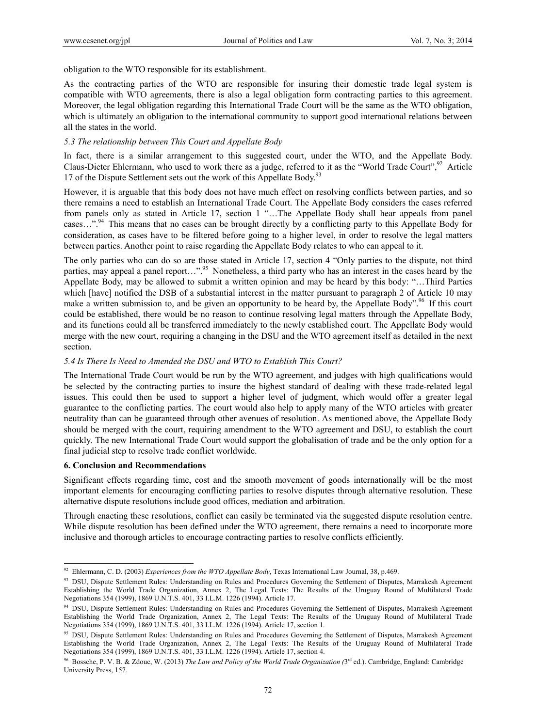obligation to the WTO responsible for its establishment.

As the contracting parties of the WTO are responsible for insuring their domestic trade legal system is compatible with WTO agreements, there is also a legal obligation form contracting parties to this agreement. Moreover, the legal obligation regarding this International Trade Court will be the same as the WTO obligation, which is ultimately an obligation to the international community to support good international relations between all the states in the world.

## *5.3 The relationship between This Court and Appellate Body*

In fact, there is a similar arrangement to this suggested court, under the WTO, and the Appellate Body. Claus-Dieter Ehlermann, who used to work there as a judge, referred to it as the "World Trade Court",  $92$  Article 17 of the Dispute Settlement sets out the work of this Appellate Body.<sup>93</sup>

However, it is arguable that this body does not have much effect on resolving conflicts between parties, and so there remains a need to establish an International Trade Court. The Appellate Body considers the cases referred from panels only as stated in Article 17, section 1 "...The Appellate Body shall hear appeals from panel cases...".<sup>94</sup> This means that no cases can be brought directly by a conflicting party to this Appellate Body for consideration, as cases have to be filtered before going to a higher level, in order to resolve the legal matters between parties. Another point to raise regarding the Appellate Body relates to who can appeal to it.

The only parties who can do so are those stated in Article 17, section 4 "Only parties to the dispute, not third parties, may appeal a panel report…".<sup>95</sup> Nonetheless, a third party who has an interest in the cases heard by the Appellate Body, may be allowed to submit a written opinion and may be heard by this body: "…Third Parties which [have] notified the DSB of a substantial interest in the matter pursuant to paragraph 2 of Article 10 may make a written submission to, and be given an opportunity to be heard by, the Appellate Body".<sup>96</sup> If this court could be established, there would be no reason to continue resolving legal matters through the Appellate Body, and its functions could all be transferred immediately to the newly established court. The Appellate Body would merge with the new court, requiring a changing in the DSU and the WTO agreement itself as detailed in the next section.

# *5.4 Is There Is Need to Amended the DSU and WTO to Establish This Court?*

The International Trade Court would be run by the WTO agreement, and judges with high qualifications would be selected by the contracting parties to insure the highest standard of dealing with these trade-related legal issues. This could then be used to support a higher level of judgment, which would offer a greater legal guarantee to the conflicting parties. The court would also help to apply many of the WTO articles with greater neutrality than can be guaranteed through other avenues of resolution. As mentioned above, the Appellate Body should be merged with the court, requiring amendment to the WTO agreement and DSU, to establish the court quickly. The new International Trade Court would support the globalisation of trade and be the only option for a final judicial step to resolve trade conflict worldwide.

### **6. Conclusion and Recommendations**

Significant effects regarding time, cost and the smooth movement of goods internationally will be the most important elements for encouraging conflicting parties to resolve disputes through alternative resolution. These alternative dispute resolutions include good offices, mediation and arbitration.

Through enacting these resolutions, conflict can easily be terminated via the suggested dispute resolution centre. While dispute resolution has been defined under the WTO agreement, there remains a need to incorporate more inclusive and thorough articles to encourage contracting parties to resolve conflicts efficiently.

 $92$  Ehlermann, C. D. (2003) Experiences from the WTO Appellate Body, Texas International Law Journal, 38, p.469.

<sup>93</sup> DSU, Dispute Settlement Rules: Understanding on Rules and Procedures Governing the Settlement of Disputes, Marrakesh Agreement Establishing the World Trade Organization, Annex 2, The Legal Texts: The Results of the Uruguay Round of Multilateral Trade Negotiations 354 (1999), 1869 U.N.T.S. 401, 33 I.L.M. 1226 (1994). Article 17.

<sup>&</sup>lt;sup>94</sup> DSU, Dispute Settlement Rules: Understanding on Rules and Procedures Governing the Settlement of Disputes, Marrakesh Agreement Establishing the World Trade Organization, Annex 2, The Legal Texts: The Results of the Uruguay Round of Multilateral Trade Negotiations 354 (1999), 1869 U.N.T.S. 401, 33 I.L.M. 1226 (1994). Article 17, section 1.

<sup>&</sup>lt;sup>95</sup> DSU, Dispute Settlement Rules: Understanding on Rules and Procedures Governing the Settlement of Disputes, Marrakesh Agreement Establishing the World Trade Organization, Annex 2, The Legal Texts: The Results of the Uruguay Round of Multilateral Trade Negotiations 354 (1999), 1869 U.N.T.S. 401, 33 I.L.M. 1226 (1994). Article 17, section 4.

<sup>96</sup> Bossche, P. V. B. & Zdouc, W. (2013) *The Law and Policy of the World Trade Organization (*3rd ed.). Cambridge, England: Cambridge University Press, 157.